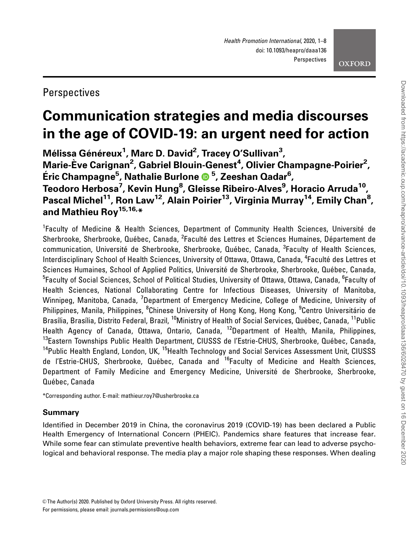# Perspectives

# Communication strategies and media discourses in the age of COVID-19: an urgent need for action

Mélissa Généreux<sup>1</sup>, Marc D. David<sup>2</sup>, Tracey O'Sullivan<sup>3</sup>, Marie-Ève Carignan<sup>2</sup>, Gabriel Blouin-Genest<sup>4</sup>, Olivier Champagne-Poirier<sup>2</sup>, E´ric Champagne5 , Nathalie Burlone <sup>5</sup> , Zeeshan Qadar<sup>6</sup> , Teodoro Herbosa<sup>7</sup>, Kevin Hung<sup>8</sup>, Gleisse Ribeiro-Alves<sup>9</sup>, Horacio Arruda<sup>10</sup>, Pascal Michel<sup>11</sup>, Ron Law<sup>12</sup>, Alain Poirier<sup>13</sup>, Virginia Murray<sup>14</sup>, Emily Chan<sup>8</sup>, and Mathieu Rov<sup>15,16,\*</sup>

<sup>1</sup>Faculty of Medicine & Health Sciences, Department of Community Health Sciences, Université de Sherbrooke, Sherbrooke, Québec, Canada, <sup>2</sup>Faculté des Lettres et Sciences Humaines, Département de communication, Université de Sherbrooke, Sherbrooke, Québec, Canada, <sup>3</sup>Faculty of Health Sciences, Interdisciplinary School of Health Sciences, University of Ottawa, Ottawa, Canada, <sup>4</sup>Faculté des Lettres et Sciences Humaines, School of Applied Politics, Université de Sherbrooke, Sherbrooke, Québec, Canada, <sup>5</sup>Faculty of Social Sciences, School of Political Studies, University of Ottawa, Ottawa, Canada, <sup>6</sup>Faculty of Health Sciences, National Collaborating Centre for Infectious Diseases, University of Manitoba, Winnipeg, Manitoba, Canada, <sup>7</sup>Department of Emergency Medicine, College of Medicine, University of Philippines, Manila, Philippines, <sup>8</sup>Chinese University of Hong Kong, Hong Kong, <sup>9</sup>Centro Universitário de Brasília, Brasília, Distrito Federal, Brazil, <sup>10</sup>Ministry of Health of Social Services, Québec, Canada, <sup>11</sup>Public Health Agency of Canada, Ottawa, Ontario, Canada, <sup>12</sup>Department of Health, Manila, Philippines, <sup>13</sup>Eastern Townships Public Health Department, CIUSSS de l'Estrie-CHUS, Sherbrooke, Québec, Canada, <sup>14</sup>Public Health England, London, UK, <sup>15</sup>Health Technology and Social Services Assessment Unit, CIUSSS de l'Estrie-CHUS, Sherbrooke, Québec, Canada and <sup>16</sup>Faculty of Medicine and Health Sciences, Department of Family Medicine and Emergency Medicine, Université de Sherbrooke, Sherbrooke, Québec, Canada

\*Corresponding author. E-mail: mathieur.roy7@usherbrooke.ca

# Summary

Identified in December 2019 in China, the coronavirus 2019 (COVID-19) has been declared a Public Health Emergency of International Concern (PHEIC). Pandemics share features that increase fear. While some fear can stimulate preventive health behaviors, extreme fear can lead to adverse psychological and behavioral response. The media play a major role shaping these responses. When dealing

<sup>©</sup> The Author(s) 2020. Published by Oxford University Press. All rights reserved. For permissions, please email: journals.permissions@oup.com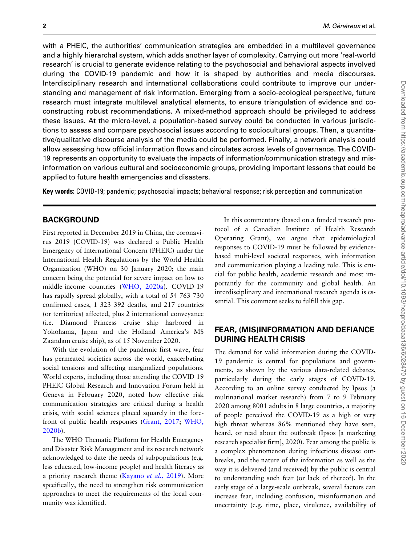with a PHEIC, the authorities' communication strategies are embedded in a multilevel governance and a highly hierarchal system, which adds another layer of complexity. Carrying out more 'real-world research' is crucial to generate evidence relating to the psychosocial and behavioral aspects involved during the COVID-19 pandemic and how it is shaped by authorities and media discourses. Interdisciplinary research and international collaborations could contribute to improve our understanding and management of risk information. Emerging from a socio-ecological perspective, future research must integrate multilevel analytical elements, to ensure triangulation of evidence and coconstructing robust recommendations. A mixed-method approach should be privileged to address these issues. At the micro-level, a population-based survey could be conducted in various jurisdictions to assess and compare psychosocial issues according to sociocultural groups. Then, a quantitative/qualitative discourse analysis of the media could be performed. Finally, a network analysis could allow assessing how official information flows and circulates across levels of governance. The COVID-19 represents an opportunity to evaluate the impacts of information/communication strategy and misinformation on various cultural and socioeconomic groups, providing important lessons that could be applied to future health emergencies and disasters.

Key words: COVID-19; pandemic; psychosocial impacts; behavioral response; risk perception and communication

## **BACKGROUND**

First reported in December 2019 in China, the coronavirus 2019 (COVID-19) was declared a Public Health Emergency of International Concern (PHEIC) under the International Health Regulations by the World Health Organization (WHO) on 30 January 2020; the main concern being the potential for severe impact on low to middle-income countries ([WHO, 2020a](#page-7-0)). COVID-19 has rapidly spread globally, with a total of 54 763 730 confirmed cases, 1 323 392 deaths, and 217 countries (or territories) affected, plus 2 international conveyance (i.e. Diamond Princess cruise ship harbored in Yokohama, Japan and the Holland America's MS Zaandam cruise ship), as of 15 November 2020.

With the evolution of the pandemic first wave, fear has permeated societies across the world, exacerbating social tensions and affecting marginalized populations. World experts, including those attending the COVID 19 PHEIC Global Research and Innovation Forum held in Geneva in February 2020, noted how effective risk communication strategies are critical during a health crisis, with social sciences placed squarely in the forefront of public health responses ([Grant, 2017](#page-6-0); [WHO,](#page-7-0) [2020b](#page-7-0)).

The WHO Thematic Platform for Health Emergency and Disaster Risk Management and its research network acknowledged to date the needs of subpopulations (e.g. less educated, low-income people) and health literacy as a priority research theme [\(Kayano](#page-6-0) et al., 2019). More specifically, the need to strengthen risk communication approaches to meet the requirements of the local community was identified.

In this commentary (based on a funded research protocol of a Canadian Institute of Health Research Operating Grant), we argue that epidemiological responses to COVID-19 must be followed by evidencebased multi-level societal responses, with information and communication playing a leading role. This is crucial for public health, academic research and most importantly for the community and global health. An interdisciplinary and international research agenda is essential. This comment seeks to fulfill this gap.

#### FEAR, (MIS)INFORMATION AND DEFIANCE DURING HEALTH CRISIS

The demand for valid information during the COVID-19 pandemic is central for populations and governments, as shown by the various data-related debates, particularly during the early stages of COVID-19. According to an online survey conducted by Ipsos (a multinational market research) from 7 to 9 February 2020 among 8001 adults in 8 large countries, a majority of people perceived the COVID-19 as a high or very high threat whereas 86% mentioned they have seen, heard, or read about the outbreak (Ipsos [a marketing research specialist firm], 2020). Fear among the public is a complex phenomenon during infectious disease outbreaks, and the nature of the information as well as the way it is delivered (and received) by the public is central to understanding such fear (or lack of thereof). In the early stage of a large-scale outbreak, several factors can increase fear, including confusion, misinformation and uncertainty (e.g. time, place, virulence, availability of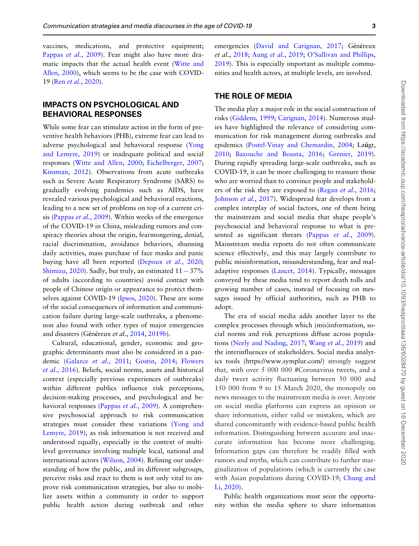vaccines, medications, and protective equipment; [Pappas](#page-6-0) et al., 2009). Fear might also have more dramatic impacts that the actual health event ([Witte and](#page-7-0) [Allen, 2000](#page-7-0)), which seems to be the case with COVID-19 (Ren et al.[, 2020\)](#page-7-0).

#### IMPACTS ON PSYCHOLOGICAL AND BEHAVIORAL RESPONSES

While some fear can stimulate action in the form of preventive health behaviors (PHB), extreme fear can lead to adverse psychological and behavioral response ([Yong](#page-7-0) [and Lemyre, 2019](#page-7-0)) or inadequate political and social responses ([Witte and Allen, 2000;](#page-7-0) [Eichelberger, 2007](#page-6-0); [Kinsman, 2012](#page-6-0)). Observations from acute outbreaks such as Severe Acute Respiratory Syndrome (SARS) to gradually evolving pandemics such as AIDS, have revealed various psychological and behavioral reactions, leading to a new set of problems on top of a current crisis ([Pappas](#page-6-0) et al., 2009). Within weeks of the emergence of the COVID-19 in China, misleading rumors and conspiracy theories about the origin, fearmongering, denial, racial discrimination, avoidance behaviors, shunning daily activities, mass purchase of face masks and panic buying have all been reported ([Depoux](#page-6-0) et al., 2020; [Shimizu, 2020](#page-7-0)). Sadly, but truly, an estimated  $11 - 37\%$ of adults (according to countries) avoid contact with people of Chinese origin or appearance to protect themselves against COVID-19 [\(Ipsos, 2020\)](#page-6-0). These are some of the social consequences of information and communication failure during large-scale outbreaks, a phenomenon also found with other types of major emergencies and disasters (Généreux et al., [2014](#page-6-0), [2019b\)](#page-6-0).

Cultural, educational, gender, economic and geographic determinants must also be considered in a pandemic ([Galarce](#page-6-0) et al., 2011; [Gostin, 2014](#page-6-0); [Flowers](#page-6-0) et al.[, 2016](#page-6-0)). Beliefs, social norms, assets and historical context (especially previous experiences of outbreaks) within different publics influence risk perceptions, decision-making processes, and psychological and be-havioral responses [\(Pappas](#page-6-0) et al., 2009). A comprehensive psychosocial approach to risk communication strategies must consider these variations ([Yong and](#page-7-0) [Lemyre, 2019](#page-7-0)), as risk information is not received and understood equally, especially in the context of multilevel governance involving multiple local, national and international actors [\(Wilson, 2004\)](#page-7-0). Refining our understanding of how the public, and its different subgroups, perceive risks and react to them is not only vital to improve risk communication strategies, but also to mobilize assets within a community in order to support public health action during outbreak and other emergencies ([David and Carignan, 2017;](#page-6-0) Généreux et al., [2018](#page-6-0); Aung et al.[, 2019;](#page-5-0) [O'Sullivan and Phillips,](#page-6-0) [2019](#page-6-0)). This is especially important as multiple communities and health actors, at multiple levels, are involved.

#### THE ROLE OF MEDIA

The media play a major role in the social construction of risks ([Giddens, 1999;](#page-6-0) [Carignan, 2014](#page-5-0)). Numerous studies have highlighted the relevance of considering communication for risk management during outbreaks and epidemics [\(Postel-Vinay and Chemardin, 2004;](#page-7-0) Laügt, [2010](#page-6-0); [Bazouche and Bousta, 2016;](#page-5-0) [Grenier, 2019](#page-6-0)). During rapidly spreading large-scale outbreaks, such as COVID-19, it can be more challenging to reassure those who are worried than to convince people and stakehold-ers of the risk they are exposed to (Regan et al.[, 2016](#page-7-0); [Johnson](#page-6-0) et al., 2017). Widespread fear develops from a complex interplay of social factors, one of them being the mainstream and social media that shape people's psychosocial and behavioral response to what is pre-sented as significant threats (Pappas et al.[, 2009](#page-6-0)). Mainstream media reports do not often communicate science effectively, and this may largely contribute to public misinformation, misunderstanding, fear and maladaptive responses [\(Lancet, 2014](#page-6-0)). Typically, messages conveyed by these media tend to report death tolls and growing number of cases, instead of focusing on messages issued by official authorities, such as PHB to adopt.

The era of social media adds another layer to the complex processes through which (mis)information, social norms and risk perceptions diffuse across populations [\(Neely and Nading, 2017;](#page-6-0) Wang et al.[, 2019](#page-7-0)) and the interinfluences of stakeholders. Social media analytics tools [\(https://www.symplur.com/](https://www.symplur.com/)) strongly suggest that, with over 5 000 000 #Coronavirus tweets, and a daily tweet activity fluctuating between 50 000 and 150 000 from 9 to 15 March 2020, the monopoly on news messages to the mainstream media is over. Anyone on social media platforms can express an opinion or share information, either valid or mistaken, which are shared concomitantly with evidence-based public health information. Distinguishing between accurate and inaccurate information has become more challenging. Information gaps can therefore be readily filled with rumors and myths, which can contribute to further marginalization of populations (which is currently the case with Asian populations during COVID-19; [Chung and](#page-6-0) [Li, 2020\)](#page-6-0).

Public health organizations must seize the opportunity within the media sphere to share information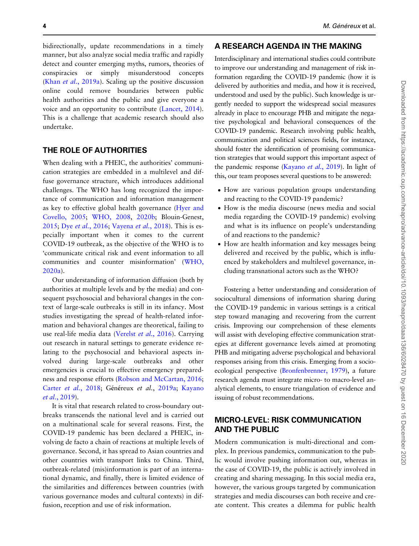bidirectionally, update recommendations in a timely manner, but also analyze social media traffic and rapidly detect and counter emerging myths, rumors, theories of conspiracies or simply misunderstood concepts (Khan et al.[, 2019a\)](#page-6-0). Scaling up the positive discussion online could remove boundaries between public health authorities and the public and give everyone a voice and an opportunity to contribute ([Lancet, 2014](#page-6-0)). This is a challenge that academic research should also undertake.

#### THE ROLE OF AUTHORITIES

When dealing with a PHEIC, the authorities' communication strategies are embedded in a multilevel and diffuse governance structure, which introduces additional challenges. The WHO has long recognized the importance of communication and information management as key to effective global health governance [\(Hyer and](#page-6-0) [Covello, 2005;](#page-6-0) [WHO, 2008,](#page-7-0) [2020b](#page-7-0); Blouin-Genest, [2015](#page-5-0); Dye et al.[, 2016](#page-6-0); [Vayena](#page-7-0) et al., 2018). This is especially important when it comes to the current COVID-19 outbreak, as the objective of the WHO is to 'communicate critical risk and event information to all communities and counter misinformation' ([WHO,](#page-7-0) [2020a\)](#page-7-0).

Our understanding of information diffusion (both by authorities at multiple levels and by the media) and consequent psychosocial and behavioral changes in the context of large-scale outbreaks is still in its infancy. Most studies investigating the spread of health-related information and behavioral changes are theoretical, failing to use real-life media data [\(Verelst](#page-7-0) et al., 2016). Carrying out research in natural settings to generate evidence relating to the psychosocial and behavioral aspects involved during large-scale outbreaks and other emergencies is crucial to effective emergency preparedness and response efforts ([Robson and McCartan, 2016](#page-7-0); Carter et al.[, 2018;](#page-5-0) Généreux et al., [2019a](#page-6-0); [Kayano](#page-6-0) et al.[, 2019\)](#page-6-0).

It is vital that research related to cross-boundary outbreaks transcends the national level and is carried out on a multinational scale for several reasons. First, the COVID-19 pandemic has been declared a PHEIC, involving de facto a chain of reactions at multiple levels of governance. Second, it has spread to Asian countries and other countries with transport links to China. Third, outbreak-related (mis)information is part of an international dynamic, and finally, there is limited evidence of the similarities and differences between countries (with various governance modes and cultural contexts) in diffusion, reception and use of risk information.

#### A RESEARCH AGENDA IN THE MAKING

Interdisciplinary and international studies could contribute to improve our understanding and management of risk information regarding the COVID-19 pandemic (how it is delivered by authorities and media, and how it is received, understood and used by the public). Such knowledge is urgently needed to support the widespread social measures already in place to encourage PHB and mitigate the negative psychological and behavioral consequences of the COVID-19 pandemic. Research involving public health, communication and political sciences fields, for instance, should foster the identification of promising communication strategies that would support this important aspect of the pandemic response ([Kayano](#page-6-0) et al., 2019). In light of this, our team proposes several questions to be answered:

- How are various population groups understanding and reacting to the COVID-19 pandemic?
- How is the media discourse (news media and social media regarding the COVID-19 pandemic) evolving and what is its influence on people's understanding of and reactions to the pandemic?
- How are health information and key messages being delivered and received by the public, which is influenced by stakeholders and multilevel governance, including transnational actors such as the WHO?

Fostering a better understanding and consideration of sociocultural dimensions of information sharing during the COVID-19 pandemic in various settings is a critical step toward managing and recovering from the current crisis. Improving our comprehension of these elements will assist with developing effective communication strategies at different governance levels aimed at promoting PHB and mitigating adverse psychological and behavioral responses arising from this crisis. Emerging from a socioecological perspective ([Bronfenbrenner, 1979\)](#page-5-0), a future research agenda must integrate micro- to macro-level analytical elements, to ensure triangulation of evidence and issuing of robust recommendations.

#### MICRO-LEVEL: RISK COMMUNICATION AND THE PUBLIC

Modern communication is multi-directional and complex. In previous pandemics, communication to the public would involve pushing information out, whereas in the case of COVID-19, the public is actively involved in creating and sharing messaging. In this social media era, however, the various groups targeted by communication strategies and media discourses can both receive and create content. This creates a dilemma for public health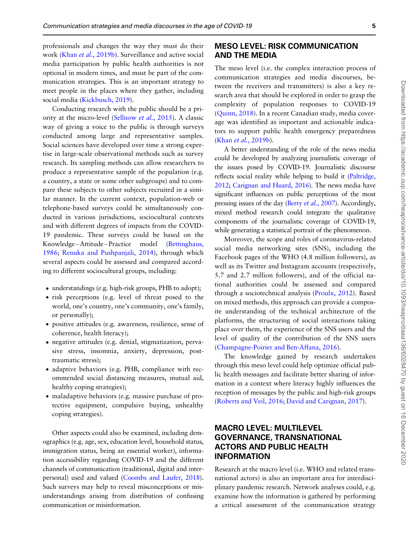professionals and changes the way they must do their work (Khan et al.[, 2019b\)](#page-6-0). Surveillance and active social media participation by public health authorities is not optional in modern times, and must be part of the communication strategies. This is an important strategy to meet people in the places where they gather, including social media ([Kickbusch, 2019](#page-6-0)).

Conducting research with the public should be a priority at the micro-level ([Sellnow](#page-7-0) et al., 2015). A classic way of giving a voice to the public is through surveys conducted among large and representative samples. Social sciences have developed over time a strong expertise in large-scale observational methods such as survey research. Its sampling methods can allow researchers to produce a representative sample of the population (e.g. a country, a state or some other subgroups) and to compare these subjects to other subjects recruited in a similar manner. In the current context, population-web or telephone-based surveys could be simultaneously conducted in various jurisdictions, sociocultural contexts and with different degrees of impacts from the COVID-19 pandemic. These surveys could be based on the Knowledge-Attitude-Practice model [\(Bettinghaus,](#page-5-0) [1986](#page-5-0); [Renuka and Pushpanjali, 2014](#page-7-0)), through which several aspects could be assessed and compared according to different sociocultural groups, including:

- understandings (e.g. high-risk groups, PHB to adopt);
- risk perceptions (e.g. level of threat posed to the world, one's country, one's community, one's family, or personally);
- positive attitudes (e.g. awareness, resilience, sense of coherence, health literacy);
- negative attitudes (e.g. denial, stigmatization, pervasive stress, insomnia, anxiety, depression, posttraumatic stress);
- adaptive behaviors (e.g. PHB, compliance with recommended social distancing measures, mutual aid, healthy coping strategies);
- maladaptive behaviors (e.g. massive purchase of protective equipment, compulsive buying, unhealthy coping strategies).

Other aspects could also be examined, including demographics (e.g. age, sex, education level, household status, immigration status, being an essential worker), information accessibility regarding COVID-19 and the different channels of communication (traditional, digital and interpersonal) used and valued [\(Coombs and Laufer, 2018\)](#page-6-0). Such surveys may help to reveal misconceptions or misunderstandings arising from distribution of confusing communication or misinformation.

#### MESO LEVEL: RISK COMMUNICATION AND THE MEDIA

The meso level (i.e. the complex interaction process of communication strategies and media discourses, between the receivers and transmitters) is also a key research area that should be explored in order to grasp the complexity of population responses to COVID-19 [\(Quinn, 2018](#page-7-0)). In a recent Canadian study, media coverage was identified as important and actionable indicators to support public health emergency preparedness (Khan et al.[, 2019b](#page-6-0)).

A better understanding of the role of the news media could be developed by analyzing journalistic coverage of the issues posed by COVID-19. Journalistic discourse reflects social reality while helping to build it [\(Paltridge,](#page-6-0) [2012;](#page-6-0) [Carignan and Huard, 2016](#page-5-0)). The news media have significant influences on public perceptions of the most pressing issues of the day (Berry et al.[, 2007\)](#page-5-0). Accordingly, mixed method research could integrate the qualitative components of the journalistic coverage of COVID-19, while generating a statistical portrait of the phenomenon.

Moreover, the scope and roles of coronavirus-related social media networking sites (SNS), including the Facebook pages of the WHO (4.8 million followers), as well as its Twitter and Instagram accounts (respectively, 5.7 and 2.7 million followers), and of the official national authorities could be assessed and compared through a sociotechnical analysis ([Proulx, 2012](#page-7-0)). Based on mixed methods, this approach can provide a composite understanding of the technical architecture of the platforms, the structuring of social interactions taking place over them, the experience of the SNS users and the level of quality of the contribution of the SNS users [\(Champagne-Poirier and Ben-Affana, 2016](#page-5-0)).

The knowledge gained by research undertaken through this meso level could help optimize official public health messages and facilitate better sharing of information in a context where literacy highly influences the reception of messages by the public and high-risk groups [\(Roberts and Veil, 2016;](#page-7-0) [David and Carignan, 2017\)](#page-6-0).

# MACRO LEVEL: MULTILEVEL GOVERNANCE, TRANSNATIONAL ACTORS AND PUBLIC HEALTH INFORMATION

Research at the macro level (i.e. WHO and related transnational actors) is also an important area for interdisciplinary pandemic research. Network analyses could, e.g. examine how the information is gathered by performing a critical assessment of the communication strategy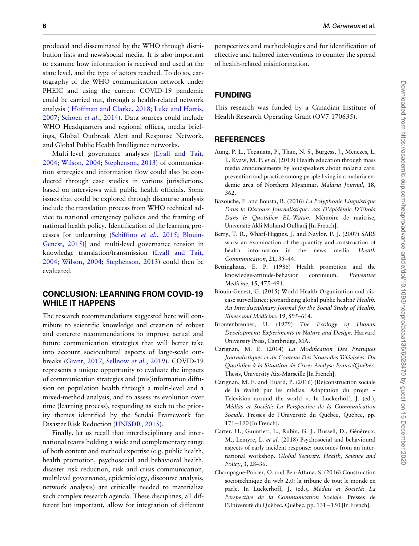<span id="page-5-0"></span>produced and disseminated by the WHO through distribution lists and news/social media. It is also important to examine how information is received and used at the state level, and the type of actors reached. To do so, cartography of the WHO communication network under PHEIC and using the current COVID-19 pandemic could be carried out, through a health-related network analysis ( [Hoffman and Clarke, 2018](#page-6-0); [Luke and Harris,](#page-6-0) [2007](#page-6-0); [Schoen](#page-7-0) et al., 2014). Data sources could include WHO Headquarters and regional offices, media briefings, Global Outbreak Alert and Response Network, and Global Public Health Intelligence networks.

Multi-level governance analyses [\(Lyall and Tait,](#page-6-0) [2004](#page-6-0); [Wilson, 2004;](#page-7-0) [Stephenson, 2013](#page-7-0)) of communication strategies and information flow could also be conducted through case studies in various jurisdictions, based on interviews with public health officials. Some issues that could be explored through discourse analysis include the translation process from WHO technical advice to national emergency policies and the framing of national health policy. Identification of the learning processes [or unlearning ([Schiffino](#page-7-0) et al., 2015; Blouin-Genest, 2015)] and multi-level governance tension in knowledge translation/transmission [\(Lyall and Tait,](#page-6-0) [2004](#page-6-0); [Wilson, 2004](#page-7-0); [Stephenson, 2013](#page-7-0)) could then be evaluated.

## CONCLUSION: LEARNING FROM COVID-19 WHILE IT HAPPENS

The research recommendations suggested here will contribute to scientific knowledge and creation of robust and concrete recommendations to improve actual and future communication strategies that will better take into account sociocultural aspects of large-scale outbreaks ([Grant, 2017;](#page-6-0) [Sellnow](#page-7-0) et al., 2019). COVID-19 represents a unique opportunity to evaluate the impacts of communication strategies and (mis)information diffusion on population health through a multi-level and a mixed-method analysis, and to assess its evolution over time (learning process), responding as such to the priority themes identified by the Sendai Framework for Disaster Risk Reduction ([UNISDR, 2015](#page-7-0)).

Finally, let us recall that interdisciplinary and international teams holding a wide and complementary range of both content and method expertise (e.g. public health, health promotion, psychosocial and behavioral health, disaster risk reduction, risk and crisis communication, multilevel governance, epidemiology, discourse analysis, network analysis) are critically needed to materialize such complex research agenda. These disciplines, all different but important, allow for integration of different perspectives and methodologies and for identification of effective and tailored interventions to counter the spread of health-related misinformation.

## FUNDING

This research was funded by a Canadian Institute of Health Research Operating Grant (OV7-170635).

#### **REFERENCES**

- Aung, P. L., Tepanata, P., Than, N. S., Burgess, J., Menezes, L. J., Kyaw, M. P. et al. (2019) Health education through mass media announcements by loudspeakers about malaria care: prevention and practice among people living in a malaria endemic area of Northern Myanmar. Malaria Journal, 18, 362.
- Bazouche, F. and Bousta, R. (2016) La Polyphonie Linguistique Dans le Discours Journalistique: cas D'épidémie D'Ebola Dans le Quotidien EL-Watan. Mémoire de maîtrise, Université Akli Mohand Oulhadj [In French].
- Berry, T. R., Wharf-Higgins, J. and Naylor, P. J. (2007) SARS wars: an examination of the quantity and construction of health information in the news media. Health Communication, 21, 35–44.
- Bettinghaus, E. P. (1986) Health promotion and the knowledge-attitude-behavior continuum. Preventive Medicine, 15, 475–491.
- Blouin-Genest, G. (2015) World Health Organization and disease surveillance: jeopardizing global public health? Health: An Interdisciplinary Journal for the Social Study of Health, Illness and Medicine, 19, 595–614.
- Bronfenbrenner, U. (1979) The Ecology of Human Development: Experiments in Nature and Design. Harvard University Press, Cambridge, MA.
- Carignan, M. E. (2014) La Modification Des Pratiques Journalistiques et du Contenu Des Nouvelles Télévisées. Du Quotidien à la Situation de Crise: Analyse France/Québec. Thesis, University Aix-Marseille [In French].
- Carignan, M. E. and Huard, P. (2016) (Re)construction sociale de la réalité par les médias. Adaptation du projet « Television around the world ». In Luckerhoff, J. (ed.), Médias et Société: La Perspective de la Communication Sociale. Presses de l'Université du Québec, Québec, pp. 171-190 [In French].
- Carter, H., Gauntlett, L., Rubin, G. J., Russell, D., Généreux, M., Lemyre, L. et al. (2018) Psychosocial and behavioural aspects of early incident response: outcomes from an international workshop. Global Security: Health, Science and Policy, 3, 28–36.
- Champagne-Poirier, O. and Ben-Affana, S. (2016) Construction sociotechnique du web 2.0: la tribune de tout le monde en parle. In Luckerhoff, J. (ed.), Médias et Société: La Perspective de la Communication Sociale. Presses de l'Université du Québec, Québec, pp. 131–150 [In French].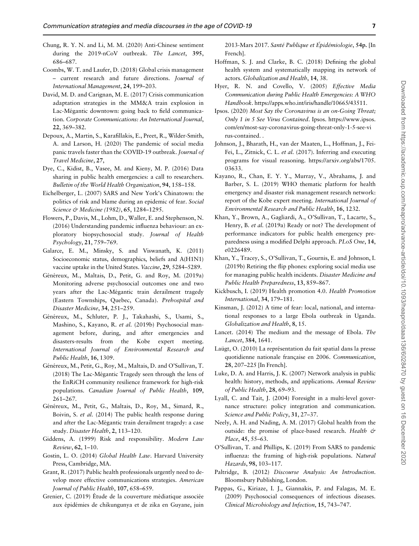- <span id="page-6-0"></span>Chung, R. Y. N. and Li, M. M. (2020) Anti-Chinese sentiment during the 2019-nCoV outbreak. The Lancet, 395, 686–687.
- Coombs, W. T. and Laufer, D. (2018) Global crisis management – current research and future directions. Journal of International Management, 24, 199–203.
- David, M. D. and Carignan, M. E. (2017) Crisis communication adaptation strategies in the MM&A train explosion in Lac-Mégantic downtown: going back to field communication. Corporate Communications: An International Journal, 22, 369–382.
- Depoux, A., Martin, S., Karafillakis, E., Preet, R., Wilder-Smith, A. and Larson, H. (2020) The pandemic of social media panic travels faster than the COVID-19 outbreak. Journal of Travel Medicine, 27,
- Dye, C., Kidist, B., Vasee, M. and Kieny, M. P. (2016) Data sharing in public health emergencies: a call to researchers. Bulletin of the World Health Organization, 94, 158–158.
- Eichelberger, L. (2007) SARS and New York's Chinatown: the politics of risk and blame during an epidemic of fear. Social Science & Medicine (1982), 65, 1284-1295.
- Flowers, P., Davis, M., Lohm, D., Waller, E. and Stephenson, N. (2016) Understanding pandemic influenza behaviour: an exploratory biopsychosocial study. Journal of Health Psychology, 21, 759–769.
- Galarce, E. M., Minsky, S. and Viswanath, K. (2011) Socioeconomic status, demographics, beliefs and A(H1N1) vaccine uptake in the United States. Vaccine, 29, 5284–5289.
- Généreux, M., Maltais, D., Petit, G. and Roy, M. (2019a) Monitoring adverse psychosocial outcomes one and two years after the Lac-Mégantic train derailment tragedy (Eastern Townships, Quebec, Canada). Prehospital and Disaster Medicine, 34, 251–259.
- Généreux, M., Schluter, P. J., Takahashi, S., Usami, S., Mashino, S., Kayano, R. et al. (2019b) Psychosocial management before, during, and after emergencies and disasters-results from the Kobe expert meeting. International Journal of Environmental Research and Public Health, 16, 1309.
- Généreux, M., Petit, G., Roy, M., Maltais, D. and O'Sullivan, T. (2018) The Lac-Mégantic Tragedy seen through the lens of the EnRiCH community resilience framework for high-risk populations. Canadian Journal of Public Health, 109, 261–267.
- Généreux, M., Petit, G., Maltais, D., Roy, M., Simard, R., Boivin, S. et al. (2014) The public health response during and after the Lac-Mégantic train derailment tragedy: a case study. Disaster Health, 2, 113–120.
- Giddens, A. (1999) Risk and responsibility. Modern Law Review, 62, 1–10.
- Gostin, L. O. (2014) Global Health Law. Harvard University Press, Cambridge, MA.
- Grant, R. (2017) Public health professionals urgently need to develop more effective communications strategies. American Journal of Public Health, 107, 658–659.
- Grenier, C. (2019) Étude de la couverture médiatique associée aux épidémies de chikungunya et de zika en Guyane, juin

2013-Mars 2017. Santé Publique et Épidémiologie, 54p. [In French].

- Hoffman, S. J. and Clarke, B. C. (2018) Defining the global health system and systematically mapping its network of actors. Globalization and Health, 14, 38.
- Hyer, R. N. and Covello, V. (2005) Effective Media Communication during Public Health Emergencies: A WHO Handbook. [https://apps.who.int/iris/handle/10665/43511.](https://apps.who.int/iris/handle/10665/43511)
- Ipsos. (2020) Most Say the Coronavirus is an on-Going Threat; Only 1 in 5 See Virus Contained. Ipsos. [https://www.ipsos.](https://www.ipsos.com/en/most-say-coronavirus-going-threat-only-1-5-see-virus-contained) [com/en/most-say-coronavirus-going-threat-only-1-5-see-vi](https://www.ipsos.com/en/most-say-coronavirus-going-threat-only-1-5-see-virus-contained) [rus-contained.](https://www.ipsos.com/en/most-say-coronavirus-going-threat-only-1-5-see-virus-contained) .
- Johnson, J., Bharath, H., van der Maaten, L., Hoffman, J., Fei-Fei, L., Zitnick, C. L. et al. (2017). Inferring and executing programs for visual reasoning. [https://arxiv.org/abs/1705.](https://arxiv.org/abs/1705.03633) [03633](https://arxiv.org/abs/1705.03633).
- Kayano, R., Chan, E. Y. Y., Murray, V., Abrahams, J. and Barber, S. L. (2019) WHO thematic platform for health emergency and disaster risk management research network: report of the Kobe expert meeting. International Journal of Environmental Research and Public Health, 16, 1232.
- Khan, Y., Brown, A., Gagliardi, A., O'Sullivan, T., Lacarte, S., Henry, B. et al. (2019a) Ready or not? The development of performance indicators for public health emergency preparedness using a modified Delphi approach. PLoS One, 14, e0226489.
- Khan, Y., Tracey, S., O'Sullivan, T., Gournis, E. and Johnson, I. (2019b) Retiring the flip phones: exploring social media use for managing public health incidents. Disaster Medicine and Public Health Preparedness, 13, 859–867.
- Kickbusch, I. (2019) Health promotion 4.0. Health Promotion International, 34, 179–181.
- Kinsman, J. (2012) A time of fear: local, national, and international responses to a large Ebola outbreak in Uganda. Globalization and Health, 8, 15.
- Lancet. (2014) The medium and the message of Ebola. The Lancet, 384, 1641.
- Laügt, O. (2010) La représentation du fait spatial dans la presse quotidienne nationale française en 2006. Communication, 28, 207–225 [In French].
- Luke, D. A. and Harris, J. K. (2007) Network analysis in public health: history, methods, and applications. Annual Review of Public Health, 28, 69–93.
- Lyall, C. and Tait, J. (2004) Foresight in a multi-level governance structure: policy integration and communication. Science and Public Policy, 31, 27–37.
- Neely, A. H. and Nading, A. M. (2017) Global health from the outside: the promise of place-based research. Health & Place, 45, 55–63.
- O'Sullivan, T. and Phillips, K. (2019) From SARS to pandemic influenza: the framing of high-risk populations. Natural Hazards, 98, 103–117.
- Paltridge, B. (2012) Discourse Analysis: An Introduction. Bloomsbury Publishing, London.
- Pappas, G., Kiriaze, I. J., Giannakis, P. and Falagas, M. E. (2009) Psychosocial consequences of infectious diseases. Clinical Microbiology and Infection, 15, 743–747.